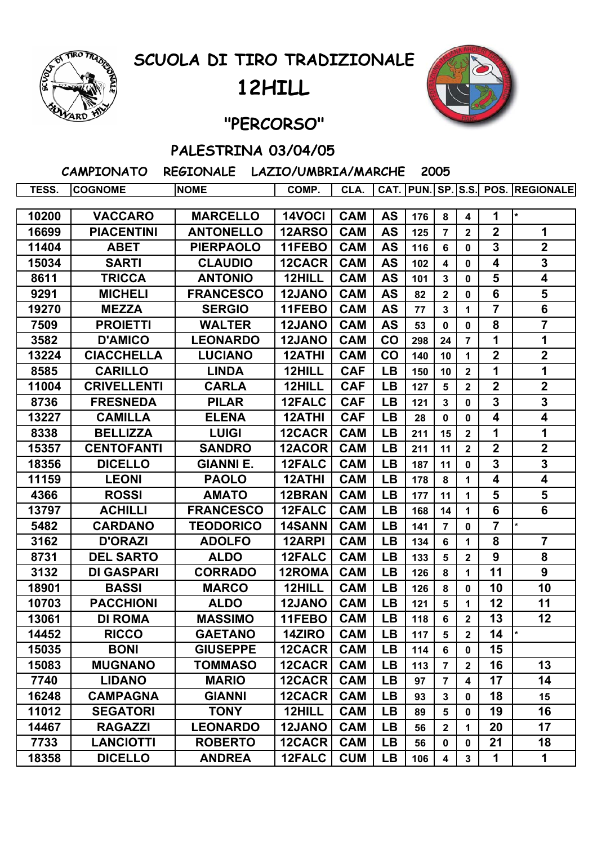

## **SCUOLA DI TIRO TRADIZIONALE**

## **12HILL**



## **"PERCORSO"**

## **PALESTRINA 03/04/05**

 **CAMPIONATO REGIONALE LAZIO/UMBRIA/MARCHE 2005**

| TESS. | <b>COGNOME</b>     | <b>NOME</b>      | COMP.         | CLA.       |           |     |                |                         |                         | CAT.   PUN.   SP.   S.S.  POS.   REGIONALE |
|-------|--------------------|------------------|---------------|------------|-----------|-----|----------------|-------------------------|-------------------------|--------------------------------------------|
|       |                    |                  |               |            |           |     |                |                         |                         | $\ast$                                     |
| 10200 | <b>VACCARO</b>     | <b>MARCELLO</b>  | 14VOCI        | <b>CAM</b> | <b>AS</b> | 176 | 8              | 4                       | 1                       |                                            |
| 16699 | <b>PIACENTINI</b>  | <b>ANTONELLO</b> | 12ARSO        | <b>CAM</b> | <b>AS</b> | 125 | $\overline{7}$ | $\mathbf{2}$            | $\boldsymbol{2}$        | 1                                          |
| 11404 | <b>ABET</b>        | <b>PIERPAOLO</b> | 11FEBO        | <b>CAM</b> | <b>AS</b> | 116 | 6              | $\mathbf 0$             | $\mathbf{3}$            | $\overline{\mathbf{2}}$                    |
| 15034 | <b>SARTI</b>       | <b>CLAUDIO</b>   | 12CACR        | <b>CAM</b> | <b>AS</b> | 102 | 4              | 0                       | 4                       | $\mathbf 3$                                |
| 8611  | <b>TRICCA</b>      | <b>ANTONIO</b>   | 12HILL        | <b>CAM</b> | <b>AS</b> | 101 | 3              | 0                       | 5                       | $\overline{\mathbf{4}}$                    |
| 9291  | <b>MICHELI</b>     | <b>FRANCESCO</b> | 12JANO        | <b>CAM</b> | <b>AS</b> | 82  | $\overline{2}$ | $\mathbf 0$             | 6                       | 5                                          |
| 19270 | <b>MEZZA</b>       | <b>SERGIO</b>    | 11FEBO        | <b>CAM</b> | <b>AS</b> | 77  | 3              | 1                       | $\overline{7}$          | $\overline{\mathbf{6}}$                    |
| 7509  | <b>PROIETTI</b>    | <b>WALTER</b>    | 12JANO        | <b>CAM</b> | <b>AS</b> | 53  | $\bf{0}$       | 0                       | 8                       | $\overline{\mathbf{7}}$                    |
| 3582  | <b>D'AMICO</b>     | <b>LEONARDO</b>  | 12JANO        | <b>CAM</b> | CO        | 298 | 24             | $\overline{7}$          | 1                       | 1                                          |
| 13224 | <b>CIACCHELLA</b>  | <b>LUCIANO</b>   | 12ATHI        | <b>CAM</b> | CO        | 140 | 10             | $\mathbf{1}$            | $\overline{2}$          | $\overline{\mathbf{2}}$                    |
| 8585  | <b>CARILLO</b>     | <b>LINDA</b>     | 12HILL        | <b>CAF</b> | <b>LB</b> | 150 | 10             | $\mathbf 2$             | 1                       | 1                                          |
| 11004 | <b>CRIVELLENTI</b> | <b>CARLA</b>     | 12HILL        | <b>CAF</b> | <b>LB</b> | 127 | 5              | $\overline{2}$          | $\mathbf 2$             | $\mathbf 2$                                |
| 8736  | <b>FRESNEDA</b>    | <b>PILAR</b>     | 12FALC        | <b>CAF</b> | <b>LB</b> | 121 | 3              | $\bf{0}$                | 3                       | 3                                          |
| 13227 | <b>CAMILLA</b>     | <b>ELENA</b>     | <b>12ATHI</b> | <b>CAF</b> | LB        | 28  | 0              | 0                       | 4                       | $\overline{\mathbf{4}}$                    |
| 8338  | <b>BELLIZZA</b>    | <b>LUIGI</b>     | 12CACR        | <b>CAM</b> | <b>LB</b> | 211 | 15             | $\mathbf 2$             | 1                       | 1                                          |
| 15357 | <b>CENTOFANTI</b>  | <b>SANDRO</b>    | 12ACOR        | <b>CAM</b> | <b>LB</b> | 211 | 11             | $\overline{2}$          | $\boldsymbol{2}$        | $\overline{2}$                             |
| 18356 | <b>DICELLO</b>     | <b>GIANNI E.</b> | 12FALC        | <b>CAM</b> | <b>LB</b> | 187 | 11             | $\mathbf{0}$            | $\overline{\mathbf{3}}$ | 3                                          |
| 11159 | <b>LEONI</b>       | <b>PAOLO</b>     | <b>12ATHI</b> | <b>CAM</b> | <b>LB</b> | 178 | 8              | 1                       | 4                       | 4                                          |
| 4366  | <b>ROSSI</b>       | <b>AMATO</b>     | 12BRAN        | <b>CAM</b> | <b>LB</b> | 177 | 11             | $\mathbf 1$             | 5                       | 5                                          |
| 13797 | <b>ACHILLI</b>     | <b>FRANCESCO</b> | 12FALC        | <b>CAM</b> | <b>LB</b> | 168 | 14             | 1                       | 6                       | 6                                          |
| 5482  | <b>CARDANO</b>     | <b>TEODORICO</b> | 14SANN        | <b>CAM</b> | LB        | 141 | $\overline{7}$ | 0                       | 7                       | $\star$                                    |
| 3162  | <b>D'ORAZI</b>     | <b>ADOLFO</b>    | 12ARPI        | <b>CAM</b> | <b>LB</b> | 134 | 6              | 1                       | 8                       | $\overline{\mathbf{7}}$                    |
| 8731  | <b>DEL SARTO</b>   | <b>ALDO</b>      | 12FALC        | <b>CAM</b> | LB        | 133 | 5              | $\overline{2}$          | 9                       | 8                                          |
| 3132  | <b>DI GASPARI</b>  | <b>CORRADO</b>   | 12ROMA        | <b>CAM</b> | <b>LB</b> | 126 | 8              | 1                       | 11                      | $\boldsymbol{9}$                           |
| 18901 | <b>BASSI</b>       | <b>MARCO</b>     | 12HILL        | <b>CAM</b> | <b>LB</b> | 126 | 8              | 0                       | 10                      | 10                                         |
| 10703 | <b>PACCHIONI</b>   | <b>ALDO</b>      | 12JANO        | <b>CAM</b> | <b>LB</b> | 121 | 5              | 1                       | 12                      | 11                                         |
| 13061 | <b>DI ROMA</b>     | <b>MASSIMO</b>   | 11FEBO        | <b>CAM</b> | <b>LB</b> | 118 | 6              | $\overline{2}$          | 13                      | 12                                         |
| 14452 | <b>RICCO</b>       | <b>GAETANO</b>   | 14ZIRO        | <b>CAM</b> | LB        | 117 | 5              | $\mathbf{2}$            | 14                      |                                            |
| 15035 | <b>BONI</b>        | <b>GIUSEPPE</b>  | 12CACR        | <b>CAM</b> | <b>LB</b> | 114 | 6              | $\mathbf{0}$            | 15                      |                                            |
| 15083 | <b>MUGNANO</b>     | <b>TOMMASO</b>   | 12CACR        | <b>CAM</b> | LB        | 113 | $\overline{7}$ | $\mathbf{2}$            | 16                      | 13                                         |
| 7740  | <b>LIDANO</b>      | <b>MARIO</b>     | 12CACR        | <b>CAM</b> | <b>LB</b> | 97  | $\overline{7}$ | $\overline{\mathbf{4}}$ | 17                      | 14                                         |
| 16248 | <b>CAMPAGNA</b>    | <b>GIANNI</b>    | 12CACR        | <b>CAM</b> | <b>LB</b> | 93  | $\mathbf{3}$   | 0                       | 18                      | 15                                         |
| 11012 | <b>SEGATORI</b>    | <b>TONY</b>      | 12HILL        | <b>CAM</b> | <b>LB</b> | 89  | 5              | 0                       | 19                      | 16                                         |
| 14467 | <b>RAGAZZI</b>     | <b>LEONARDO</b>  | 12JANO        | <b>CAM</b> | <b>LB</b> | 56  | $\overline{2}$ | 1                       | 20                      | 17                                         |
| 7733  | <b>LANCIOTTI</b>   | <b>ROBERTO</b>   | 12CACR        | <b>CAM</b> | <b>LB</b> | 56  | 0              | 0                       | 21                      | 18                                         |
| 18358 | <b>DICELLO</b>     | <b>ANDREA</b>    | 12FALC        | <b>CUM</b> | <b>LB</b> | 106 | 4              | $\overline{\mathbf{3}}$ | 1                       | $\mathbf 1$                                |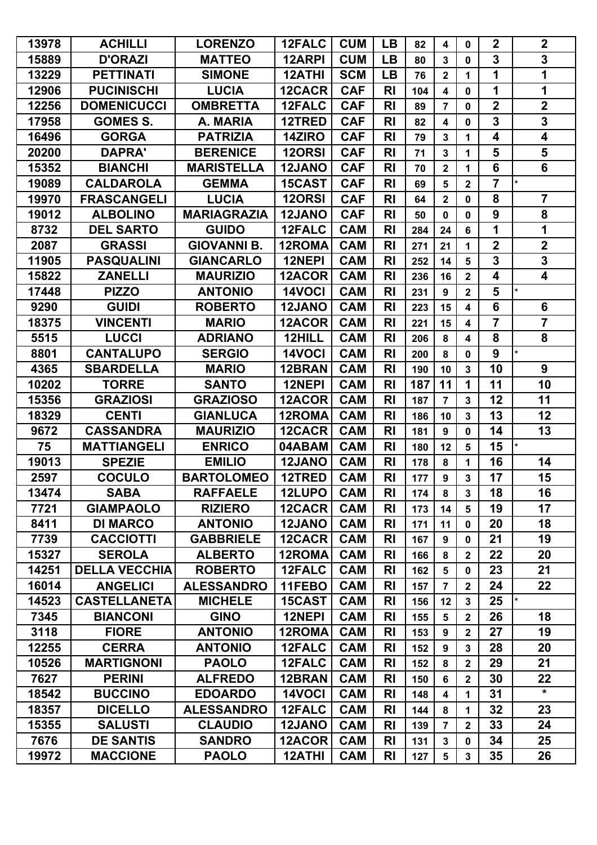| 13978 | <b>ACHILLI</b>       | <b>LORENZO</b>     | 12FALC        | <b>CUM</b> | <b>LB</b>      | 82  | $\overline{\mathbf{4}}$ | $\mathbf 0$             | $\boldsymbol{2}$        | $\boldsymbol{2}$        |
|-------|----------------------|--------------------|---------------|------------|----------------|-----|-------------------------|-------------------------|-------------------------|-------------------------|
| 15889 | <b>D'ORAZI</b>       | <b>MATTEO</b>      | 12ARPI        | <b>CUM</b> | <b>LB</b>      | 80  | $\mathbf{3}$            | $\mathbf 0$             | 3                       | $\mathbf 3$             |
| 13229 | <b>PETTINATI</b>     | <b>SIMONE</b>      | <b>12ATHI</b> | <b>SCM</b> | <b>LB</b>      | 76  | $\overline{2}$          | 1                       | 1                       | 1                       |
| 12906 | <b>PUCINISCHI</b>    | <b>LUCIA</b>       | 12CACR        | <b>CAF</b> | R <sub>l</sub> | 104 | $\overline{\mathbf{4}}$ | 0                       | 1                       | 1                       |
| 12256 | <b>DOMENICUCCI</b>   | <b>OMBRETTA</b>    | 12FALC        | <b>CAF</b> | R <sub>l</sub> | 89  | $\overline{7}$          | 0                       | $\overline{\mathbf{2}}$ | $\overline{2}$          |
| 17958 | <b>GOMES S.</b>      | A. MARIA           | 12TRED        | <b>CAF</b> | <b>RI</b>      | 82  | 4                       | 0                       | 3                       | $\mathbf 3$             |
| 16496 | <b>GORGA</b>         | <b>PATRIZIA</b>    | 14ZIRO        | <b>CAF</b> | <b>RI</b>      | 79  | $\mathbf{3}$            | 1                       | 4                       | $\overline{\mathbf{4}}$ |
| 20200 | <b>DAPRA'</b>        | <b>BERENICE</b>    | 120RSI        | <b>CAF</b> | R <sub>l</sub> | 71  | $\mathbf{3}$            | 1                       | 5                       | 5                       |
| 15352 | <b>BIANCHI</b>       | <b>MARISTELLA</b>  | <b>12JANO</b> | <b>CAF</b> | <b>RI</b>      | 70  | $\mathbf 2$             | 1                       | 6                       | 6                       |
| 19089 | <b>CALDAROLA</b>     | <b>GEMMA</b>       | 15CAST        | <b>CAF</b> | <b>RI</b>      | 69  | 5                       | $\mathbf{2}$            | $\overline{7}$          | $\star$                 |
| 19970 | <b>FRASCANGELI</b>   | <b>LUCIA</b>       | <b>120RSI</b> | <b>CAF</b> | R <sub>l</sub> | 64  | $\mathbf 2$             | 0                       | 8                       | $\overline{7}$          |
| 19012 | <b>ALBOLINO</b>      | <b>MARIAGRAZIA</b> | 12JANO        | <b>CAF</b> | R <sub>l</sub> | 50  | $\mathbf 0$             | $\mathbf 0$             | 9                       | 8                       |
| 8732  | <b>DEL SARTO</b>     | <b>GUIDO</b>       | 12FALC        | <b>CAM</b> | R <sub>l</sub> | 284 | 24                      | 6                       | 1                       | 1                       |
| 2087  | <b>GRASSI</b>        | <b>GIOVANNI B.</b> | 12ROMA        | <b>CAM</b> | <b>RI</b>      | 271 | 21                      | 1                       | $\overline{\mathbf{2}}$ | $\mathbf{2}$            |
| 11905 | <b>PASQUALINI</b>    | <b>GIANCARLO</b>   | 12NEPI        | <b>CAM</b> | <b>RI</b>      | 252 | 14                      | 5                       | 3                       | $\mathbf 3$             |
| 15822 | <b>ZANELLI</b>       | <b>MAURIZIO</b>    | 12ACOR        | <b>CAM</b> | R <sub>l</sub> | 236 | 16                      | $\mathbf 2$             | 4                       | $\overline{\mathbf{4}}$ |
| 17448 | <b>PIZZO</b>         | <b>ANTONIO</b>     | 14VOCI        | <b>CAM</b> | R <sub>l</sub> | 231 | 9                       | $\overline{2}$          | 5                       |                         |
| 9290  | <b>GUIDI</b>         | <b>ROBERTO</b>     | 12JANO        | <b>CAM</b> | <b>RI</b>      | 223 | 15                      | 4                       | 6                       | 6                       |
| 18375 | <b>VINCENTI</b>      | <b>MARIO</b>       | 12ACOR        | <b>CAM</b> | R <sub>l</sub> | 221 | 15                      | 4                       | $\overline{7}$          | $\overline{7}$          |
| 5515  | <b>LUCCI</b>         | <b>ADRIANO</b>     | 12HILL        | <b>CAM</b> | <b>RI</b>      | 206 | 8                       | 4                       | 8                       | 8                       |
| 8801  | <b>CANTALUPO</b>     | <b>SERGIO</b>      | 14VOCI        | <b>CAM</b> | R <sub>l</sub> | 200 | 8                       | $\mathbf 0$             | 9                       |                         |
| 4365  | <b>SBARDELLA</b>     | <b>MARIO</b>       | 12BRAN        | <b>CAM</b> | <b>RI</b>      | 190 | 10                      | $\mathbf{3}$            | 10                      | 9                       |
| 10202 | <b>TORRE</b>         | <b>SANTO</b>       | 12NEPI        | <b>CAM</b> | R <sub>l</sub> | 187 | 11                      | 1                       | 11                      | 10                      |
| 15356 | <b>GRAZIOSI</b>      | <b>GRAZIOSO</b>    | 12ACOR        | <b>CAM</b> | <b>RI</b>      | 187 | $\overline{7}$          | $\mathbf{3}$            | 12                      | 11                      |
| 18329 | <b>CENTI</b>         | <b>GIANLUCA</b>    | 12ROMA        | <b>CAM</b> | R <sub>l</sub> | 186 | 10                      | 3                       | 13                      | 12                      |
| 9672  | <b>CASSANDRA</b>     | <b>MAURIZIO</b>    | 12CACR        | <b>CAM</b> | R <sub>l</sub> | 181 | 9                       | $\mathbf 0$             | 14                      | 13                      |
| 75    | <b>MATTIANGELI</b>   | <b>ENRICO</b>      | 04ABAM        | <b>CAM</b> | R <sub>l</sub> | 180 | 12                      | 5                       | 15                      |                         |
| 19013 | <b>SPEZIE</b>        | <b>EMILIO</b>      | 12JANO        | <b>CAM</b> | R <sub>l</sub> | 178 | 8                       | 1                       | 16                      | 14                      |
| 2597  | <b>COCULO</b>        | <b>BARTOLOMEO</b>  | 12TRED        | <b>CAM</b> | <b>RI</b>      | 177 | 9                       | $\mathbf{3}$            | 17                      | 15                      |
| 13474 | <b>SABA</b>          | <b>RAFFAELE</b>    | 12LUPO        | <b>CAM</b> | <b>RI</b>      | 174 | 8                       | $\mathbf{3}$            | 18                      | 16                      |
| 7721  | <b>GIAMPAOLO</b>     | <b>RIZIERO</b>     | 12CACR        | <b>CAM</b> | <b>RI</b>      | 173 | 14                      | 5                       | 19                      | 17                      |
| 8411  | <b>DI MARCO</b>      | <b>ANTONIO</b>     | 12JANO        | <b>CAM</b> | <b>RI</b>      | 171 | 11                      | 0                       | 20                      | 18                      |
| 7739  | <b>CACCIOTTI</b>     | <b>GABBRIELE</b>   | 12CACR        | <b>CAM</b> | R <sub>l</sub> | 167 | 9                       | 0                       | 21                      | 19                      |
| 15327 | <b>SEROLA</b>        | <b>ALBERTO</b>     | 12ROMA        | <b>CAM</b> | <b>RI</b>      | 166 | 8                       | $\overline{2}$          | 22                      | 20                      |
| 14251 | <b>DELLA VECCHIA</b> | <b>ROBERTO</b>     | 12FALC        | <b>CAM</b> | <b>RI</b>      | 162 | 5                       | $\mathbf 0$             | 23                      | 21                      |
| 16014 | <b>ANGELICI</b>      | <b>ALESSANDRO</b>  | 11FEBO        | <b>CAM</b> | <b>RI</b>      | 157 | $\overline{7}$          | $\overline{2}$          | 24                      | $22 \,$                 |
| 14523 | <b>CASTELLANETA</b>  | <b>MICHELE</b>     | 15CAST        | <b>CAM</b> | <b>RI</b>      | 156 | 12                      | $\mathbf{3}$            | 25                      | I∗                      |
| 7345  | <b>BIANCONI</b>      | <b>GINO</b>        | 12NEPI        | <b>CAM</b> | <b>RI</b>      | 155 | 5                       | $\mathbf{2}$            | 26                      | 18                      |
| 3118  | <b>FIORE</b>         | <b>ANTONIO</b>     | 12ROMA        | <b>CAM</b> | <b>RI</b>      | 153 | $\boldsymbol{9}$        | $\overline{2}$          | 27                      | 19                      |
| 12255 | <b>CERRA</b>         | <b>ANTONIO</b>     | 12FALC        | <b>CAM</b> | R <sub>l</sub> | 152 | 9                       | $\overline{3}$          | 28                      | 20                      |
| 10526 | <b>MARTIGNONI</b>    | <b>PAOLO</b>       | <b>12FALC</b> | <b>CAM</b> | <b>RI</b>      | 152 | 8                       | $\overline{2}$          | 29                      | 21                      |
| 7627  | <b>PERINI</b>        | <b>ALFREDO</b>     | 12BRAN        | <b>CAM</b> | <b>RI</b>      | 150 | 6                       | $\overline{2}$          | 30                      | 22                      |
| 18542 | <b>BUCCINO</b>       | <b>EDOARDO</b>     | 14VOCI        | <b>CAM</b> | <b>RI</b>      | 148 | 4                       | 1                       | 31                      | $\star$                 |
| 18357 | <b>DICELLO</b>       | <b>ALESSANDRO</b>  | <b>12FALC</b> | <b>CAM</b> | R <sub>l</sub> | 144 | 8                       | 1                       | 32                      | 23                      |
| 15355 | <b>SALUSTI</b>       | <b>CLAUDIO</b>     | 12JANO        | <b>CAM</b> | <b>RI</b>      | 139 | $\overline{7}$          | $\mathbf{2}$            | 33                      | 24                      |
| 7676  | <b>DE SANTIS</b>     | <b>SANDRO</b>      | 12ACOR        | <b>CAM</b> | <b>RI</b>      | 131 | $\mathbf{3}$            | 0                       | 34                      | 25                      |
| 19972 | <b>MACCIONE</b>      | <b>PAOLO</b>       | <b>12ATHI</b> | <b>CAM</b> | R <sub>l</sub> | 127 | $5\phantom{1}$          | $\overline{\mathbf{3}}$ | 35                      | 26                      |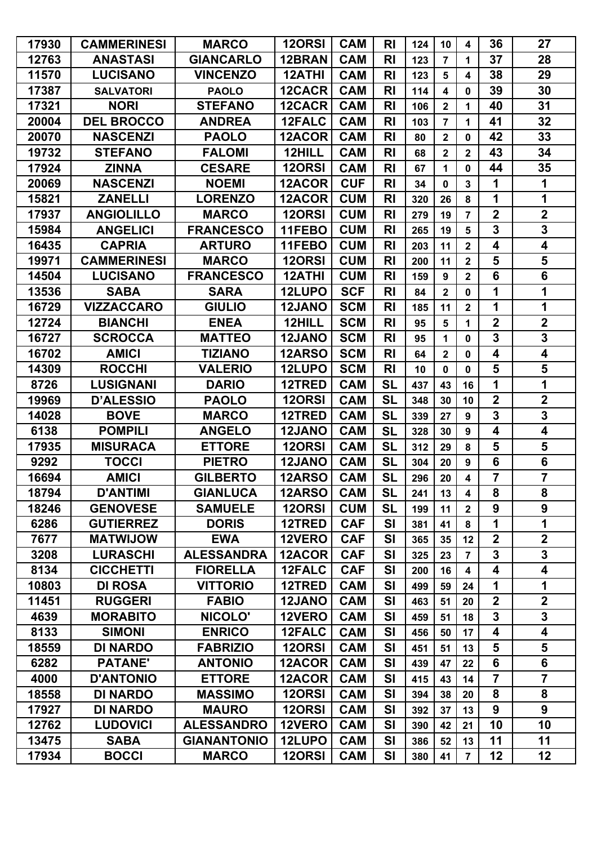| 17930 | <b>CAMMERINESI</b> | <b>MARCO</b>       | <b>120RSI</b> | <b>CAM</b> | <b>RI</b>      | 124 | 10                      | $\overline{\mathbf{4}}$ | 36                      | 27                      |
|-------|--------------------|--------------------|---------------|------------|----------------|-----|-------------------------|-------------------------|-------------------------|-------------------------|
| 12763 | <b>ANASTASI</b>    | <b>GIANCARLO</b>   | 12BRAN        | <b>CAM</b> | R <sub>l</sub> | 123 | $\overline{7}$          | 1                       | 37                      | 28                      |
| 11570 | <b>LUCISANO</b>    | <b>VINCENZO</b>    | <b>12ATHI</b> | <b>CAM</b> | R <sub>l</sub> | 123 | 5                       | 4                       | 38                      | 29                      |
| 17387 | <b>SALVATORI</b>   | <b>PAOLO</b>       | 12CACR        | <b>CAM</b> | R <sub>l</sub> | 114 | 4                       | 0                       | 39                      | 30                      |
| 17321 | <b>NORI</b>        | <b>STEFANO</b>     | 12CACR        | <b>CAM</b> | R <sub>l</sub> | 106 | $\mathbf{2}$            | 1                       | 40                      | 31                      |
| 20004 | <b>DEL BROCCO</b>  | <b>ANDREA</b>      | 12FALC        | <b>CAM</b> | R <sub>l</sub> | 103 | $\overline{\mathbf{7}}$ | 1                       | 41                      | 32                      |
| 20070 | <b>NASCENZI</b>    | <b>PAOLO</b>       | 12ACOR        | <b>CAM</b> | R <sub>l</sub> | 80  | $\overline{2}$          | 0                       | 42                      | 33                      |
| 19732 | <b>STEFANO</b>     | <b>FALOMI</b>      | 12HILL        | <b>CAM</b> | R <sub>l</sub> | 68  | $\overline{\mathbf{2}}$ | $\overline{\mathbf{2}}$ | 43                      | 34                      |
| 17924 | <b>ZINNA</b>       | <b>CESARE</b>      | <b>120RSI</b> | <b>CAM</b> | R <sub>l</sub> | 67  | 1                       | 0                       | 44                      | 35                      |
| 20069 | <b>NASCENZI</b>    | <b>NOEMI</b>       | 12ACOR        | <b>CUF</b> | <b>RI</b>      | 34  | $\mathbf 0$             | $\mathbf{3}$            | 1                       | 1                       |
| 15821 | <b>ZANELLI</b>     | <b>LORENZO</b>     | 12ACOR        | <b>CUM</b> | R <sub>l</sub> | 320 | 26                      | 8                       | 1                       | 1                       |
| 17937 | <b>ANGIOLILLO</b>  | <b>MARCO</b>       | <b>120RSI</b> | <b>CUM</b> | R <sub>l</sub> | 279 | 19                      | $\overline{7}$          | $\overline{\mathbf{2}}$ | $\overline{2}$          |
| 15984 | <b>ANGELICI</b>    | <b>FRANCESCO</b>   | 11FEBO        | <b>CUM</b> | R <sub>l</sub> | 265 | 19                      | 5                       | 3                       | $\mathbf 3$             |
| 16435 | <b>CAPRIA</b>      | <b>ARTURO</b>      | 11FEBO        | <b>CUM</b> | <b>RI</b>      | 203 | 11                      | $\overline{\mathbf{2}}$ | 4                       | 4                       |
| 19971 | <b>CAMMERINESI</b> | <b>MARCO</b>       | <b>120RSI</b> | <b>CUM</b> | <b>RI</b>      | 200 | 11                      | $\overline{\mathbf{2}}$ | 5                       | $\overline{\mathbf{5}}$ |
| 14504 | <b>LUCISANO</b>    | <b>FRANCESCO</b>   | 12ATHI        | <b>CUM</b> | R <sub>l</sub> | 159 | $\boldsymbol{9}$        | $\overline{\mathbf{2}}$ | 6                       | $6\phantom{a}$          |
| 13536 | <b>SABA</b>        | <b>SARA</b>        | 12LUPO        | <b>SCF</b> | <b>RI</b>      | 84  | $\overline{\mathbf{2}}$ | $\mathbf 0$             | 1                       | 1                       |
| 16729 | <b>VIZZACCARO</b>  | <b>GIULIO</b>      | 12JANO        | <b>SCM</b> | R <sub>l</sub> | 185 | 11                      | $\mathbf{2}$            | 1                       | 1                       |
| 12724 | <b>BIANCHI</b>     | <b>ENEA</b>        | 12HILL        | <b>SCM</b> | R <sub>l</sub> | 95  | 5                       | 1                       | $\overline{\mathbf{2}}$ | $\boldsymbol{2}$        |
| 16727 | <b>SCROCCA</b>     | <b>MATTEO</b>      | 12JANO        | <b>SCM</b> | R <sub>l</sub> | 95  | 1                       | 0                       | $\overline{\mathbf{3}}$ | $\overline{\mathbf{3}}$ |
| 16702 | <b>AMICI</b>       | <b>TIZIANO</b>     | 12ARSO        | <b>SCM</b> | <b>RI</b>      | 64  | $\overline{2}$          | 0                       | 4                       | 4                       |
| 14309 | <b>ROCCHI</b>      | <b>VALERIO</b>     | 12LUPO        | <b>SCM</b> | R <sub>l</sub> | 10  | $\mathbf 0$             | $\mathbf 0$             | 5                       | $\overline{\mathbf{5}}$ |
| 8726  | <b>LUSIGNANI</b>   | <b>DARIO</b>       | 12TRED        | <b>CAM</b> | <b>SL</b>      | 437 | 43                      | 16                      | 1                       | 1                       |
| 19969 | <b>D'ALESSIO</b>   | <b>PAOLO</b>       | <b>120RSI</b> | <b>CAM</b> | <b>SL</b>      | 348 | 30                      | 10                      | $\overline{\mathbf{2}}$ | $\mathbf 2$             |
| 14028 | <b>BOVE</b>        | <b>MARCO</b>       | 12TRED        | <b>CAM</b> | <b>SL</b>      | 339 | 27                      | $\boldsymbol{9}$        | 3                       | $\mathbf 3$             |
| 6138  | <b>POMPILI</b>     | <b>ANGELO</b>      | 12JANO        | <b>CAM</b> | <b>SL</b>      | 328 | 30                      | $\boldsymbol{9}$        | $\overline{\mathbf{4}}$ | 4                       |
| 17935 | <b>MISURACA</b>    | <b>ETTORE</b>      | <b>120RSI</b> | <b>CAM</b> | <b>SL</b>      | 312 | 29                      | 8                       | 5                       | $\overline{\mathbf{5}}$ |
| 9292  | <b>TOCCI</b>       | <b>PIETRO</b>      | 12JANO        | <b>CAM</b> | <b>SL</b>      | 304 | 20                      | $\boldsymbol{9}$        | 6                       | $6\phantom{1}$          |
| 16694 | <b>AMICI</b>       | <b>GILBERTO</b>    | 12ARSO        | <b>CAM</b> | <b>SL</b>      | 296 | 20                      | $\overline{\mathbf{4}}$ | $\overline{7}$          | $\overline{\mathbf{7}}$ |
| 18794 | <b>D'ANTIMI</b>    | <b>GIANLUCA</b>    | 12ARSO        | <b>CAM</b> | <b>SL</b>      | 241 | 13                      | $\overline{\mathbf{4}}$ | 8                       | 8                       |
| 18246 | <b>GENOVESE</b>    | <b>SAMUELE</b>     | 120RSI        | <b>CUM</b> | <b>SL</b>      | 199 | 11                      | $\mathbf{2}$            | 9                       | 9                       |
| 6286  | <b>GUTIERREZ</b>   | <b>DORIS</b>       | 12TRED        | <b>CAF</b> | <b>SI</b>      | 381 | 41                      | 8                       | 1                       | 1                       |
| 7677  | <b>MATWIJOW</b>    | <b>EWA</b>         | 12VERO        | <b>CAF</b> | SI             | 365 | 35                      | 12                      | $\overline{\mathbf{2}}$ | $\overline{2}$          |
| 3208  | <b>LURASCHI</b>    | <b>ALESSANDRA</b>  | 12ACOR        | <b>CAF</b> | <b>SI</b>      | 325 | 23                      | $\overline{7}$          | 3                       | $\overline{\mathbf{3}}$ |
| 8134  | <b>CICCHETTI</b>   | <b>FIORELLA</b>    | 12FALC        | <b>CAF</b> | <b>SI</b>      | 200 | 16                      | $\overline{\mathbf{4}}$ | 4                       | 4                       |
| 10803 | <b>DI ROSA</b>     | <b>VITTORIO</b>    | 12TRED        | <b>CAM</b> | <b>SI</b>      | 499 | 59                      | 24                      | 1                       | 1                       |
| 11451 | <b>RUGGERI</b>     | <b>FABIO</b>       | 12JANO        | <b>CAM</b> | <b>SI</b>      | 463 | 51                      | 20                      | $\overline{2}$          | $\overline{2}$          |
| 4639  | <b>MORABITO</b>    | NICOLO'            | 12VERO        | <b>CAM</b> | <b>SI</b>      | 459 | 51                      | 18                      | 3                       | $\mathbf 3$             |
| 8133  | <b>SIMONI</b>      | <b>ENRICO</b>      | 12FALC        | <b>CAM</b> | <b>SI</b>      | 456 | 50                      | 17                      | 4                       | $\overline{\mathbf{4}}$ |
| 18559 | <b>DI NARDO</b>    | <b>FABRIZIO</b>    | <b>120RSI</b> | <b>CAM</b> | SI             | 451 | 51                      | 13                      | 5                       | $\overline{\mathbf{5}}$ |
| 6282  | <b>PATANE'</b>     | <b>ANTONIO</b>     | 12ACOR        | <b>CAM</b> | <b>SI</b>      | 439 | 47                      | 22                      | 6                       | $6\phantom{a}$          |
| 4000  | <b>D'ANTONIO</b>   | <b>ETTORE</b>      | 12ACOR        | <b>CAM</b> | <b>SI</b>      | 415 | 43                      | 14                      | $\overline{7}$          | $\overline{7}$          |
| 18558 | <b>DI NARDO</b>    | <b>MASSIMO</b>     | <b>120RSI</b> | <b>CAM</b> | <b>SI</b>      | 394 | 38                      | 20                      | 8                       | 8                       |
| 17927 | <b>DI NARDO</b>    | <b>MAURO</b>       | 120RSI        | <b>CAM</b> | <b>SI</b>      | 392 | 37                      | 13                      | 9                       | 9                       |
| 12762 | <b>LUDOVICI</b>    | <b>ALESSANDRO</b>  | 12VERO        | <b>CAM</b> | <b>SI</b>      | 390 | 42                      | 21                      | 10                      | 10                      |
| 13475 | <b>SABA</b>        | <b>GIANANTONIO</b> | 12LUPO        | <b>CAM</b> | <b>SI</b>      | 386 | 52                      | 13                      | 11                      | 11                      |
| 17934 | <b>BOCCI</b>       | <b>MARCO</b>       | 12ORSI        | <b>CAM</b> | SI             | 380 | 41                      | $\overline{7}$          | 12                      | 12                      |